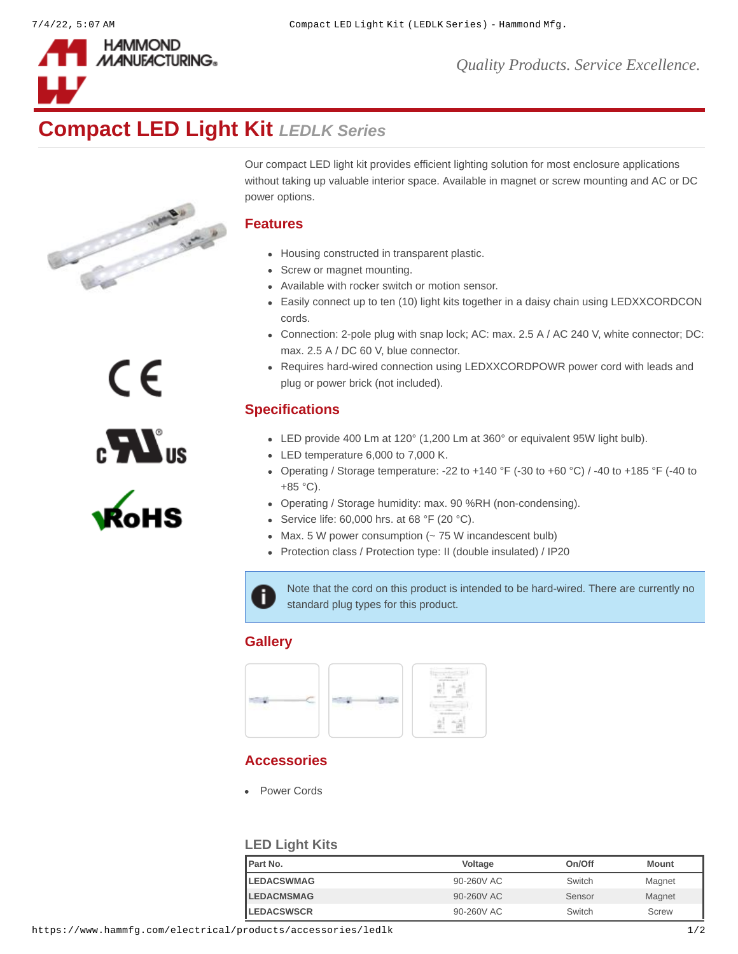



# **Compact LED Light Kit** *LEDLK Series*



CE

 $\sum_{s}$ 

Our compact LED light kit provides efficient lighting solution for most enclosure applications without taking up valuable interior space. Available in magnet or screw mounting and AC or DC power options.

#### **Features**

- Housing constructed in transparent plastic.
- Screw or magnet mounting.
- Available with rocker switch or motion sensor.
- Easily connect up to ten (10) light kits together in a daisy chain using LEDXXCORDCON cords.
- Connection: 2-pole plug with snap lock; AC: max. 2.5 A / AC 240 V, white connector; DC: max. 2.5 A / DC 60 V, blue connector.
- Requires hard-wired connection using LEDXXCORDPOWR power cord with leads and plug or power brick (not included).

## **Specifications**

- LED provide 400 Lm at 120° (1,200 Lm at 360° or equivalent 95W light bulb).
- LED temperature 6,000 to 7,000 K.
- Operating / Storage temperature: -22 to +140 °F (-30 to +60 °C) / -40 to +185 °F (-40 to +85 °C).
- Operating / Storage humidity: max. 90 %RH (non-condensing).
- Service life:  $60,000$  hrs. at  $68$  °F (20 °C).
- $\bullet$  Max. 5 W power consumption ( $\sim$  75 W incandescent bulb)
- Protection class / Protection type: II (double insulated) / IP20

Note that the cord on this product is intended to be hard-wired. There are currently no i. standard plug types for this product.

### **Gallery**



### **Accessories**

[Power Cords](https://www.hammfg.com/electronics/outlet-strips/accessories/1584c?referer=1517&itm_type=accessory)

#### **LED Light Kits**

| <b>IPart No.</b>   | Voltage    | On/Off | Mount  |
|--------------------|------------|--------|--------|
| <b>ILEDACSWMAG</b> | 90-260V AC | Switch | Magnet |
| <b>LEDACMSMAG</b>  | 90-260V AC | Sensor | Magnet |
| <b>ILEDACSWSCR</b> | 90-260V AC | Switch | Screw  |

https://www.hammfg.com/electrical/products/accessories/ledlk 1/2